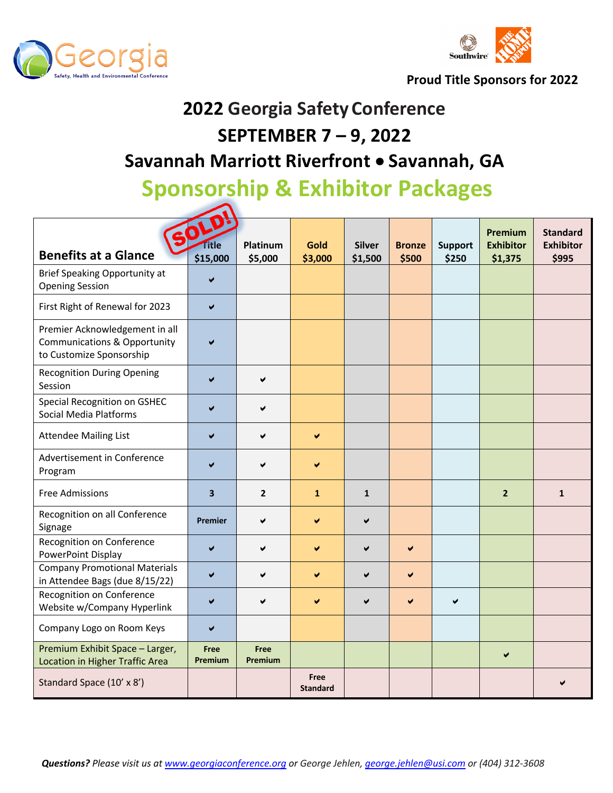



**Proud Title Sponsors for 2022**

# **2022 Georgia Safety Conference SEPTEMBER 7 – 9, 2022**

### **Savannah Marriott Riverfront** • **Savannah, GA**

## **Sponsorship & Exhibitor Packages**

|                                                                                                       |                         | Platinum               |                         |                          |                        |                         | Premium<br><b>Exhibitor</b> | <b>Standard</b><br><b>Exhibitor</b> |
|-------------------------------------------------------------------------------------------------------|-------------------------|------------------------|-------------------------|--------------------------|------------------------|-------------------------|-----------------------------|-------------------------------------|
| <b>Benefits at a Glance</b>                                                                           | ïtle<br>\$15,000        | \$5,000                | Gold<br>\$3,000         | <b>Silver</b><br>\$1,500 | <b>Bronze</b><br>\$500 | <b>Support</b><br>\$250 | \$1,375                     | \$995                               |
| Brief Speaking Opportunity at<br><b>Opening Session</b>                                               |                         |                        |                         |                          |                        |                         |                             |                                     |
| First Right of Renewal for 2023                                                                       | ✔                       |                        |                         |                          |                        |                         |                             |                                     |
| Premier Acknowledgement in all<br><b>Communications &amp; Opportunity</b><br>to Customize Sponsorship |                         |                        |                         |                          |                        |                         |                             |                                     |
| <b>Recognition During Opening</b><br>Session                                                          |                         | V                      |                         |                          |                        |                         |                             |                                     |
| Special Recognition on GSHEC<br><b>Social Media Platforms</b>                                         |                         | ✔                      |                         |                          |                        |                         |                             |                                     |
| <b>Attendee Mailing List</b>                                                                          |                         | ✔                      | $\blacktriangledown$    |                          |                        |                         |                             |                                     |
| Advertisement in Conference<br>Program                                                                |                         | ✔                      |                         |                          |                        |                         |                             |                                     |
| <b>Free Admissions</b>                                                                                | $\overline{\mathbf{3}}$ | $\overline{2}$         | $\mathbf{1}$            | $\mathbf{1}$             |                        |                         | $\overline{2}$              | $\mathbf{1}$                        |
| Recognition on all Conference<br>Signage                                                              | Premier                 | ✔                      | ✔                       | ✔                        |                        |                         |                             |                                     |
| Recognition on Conference<br>PowerPoint Display                                                       | $\blacktriangleright$   | ✔                      | ✔                       | ✔                        | ✔                      |                         |                             |                                     |
| <b>Company Promotional Materials</b><br>in Attendee Bags (due 8/15/22)                                | $\blacktriangledown$    | ✔                      | ✔                       | V                        | ✔                      |                         |                             |                                     |
| Recognition on Conference<br>Website w/Company Hyperlink                                              | ✔                       | V                      | V                       | ✔                        | V                      | ✔                       |                             |                                     |
| Company Logo on Room Keys                                                                             | ✔                       |                        |                         |                          |                        |                         |                             |                                     |
| Premium Exhibit Space - Larger,<br><b>Location in Higher Traffic Area</b>                             | Free<br>Premium         | Free<br><b>Premium</b> |                         |                          |                        |                         | $\blacktriangledown$        |                                     |
| Standard Space (10' x 8')                                                                             |                         |                        | Free<br><b>Standard</b> |                          |                        |                         |                             |                                     |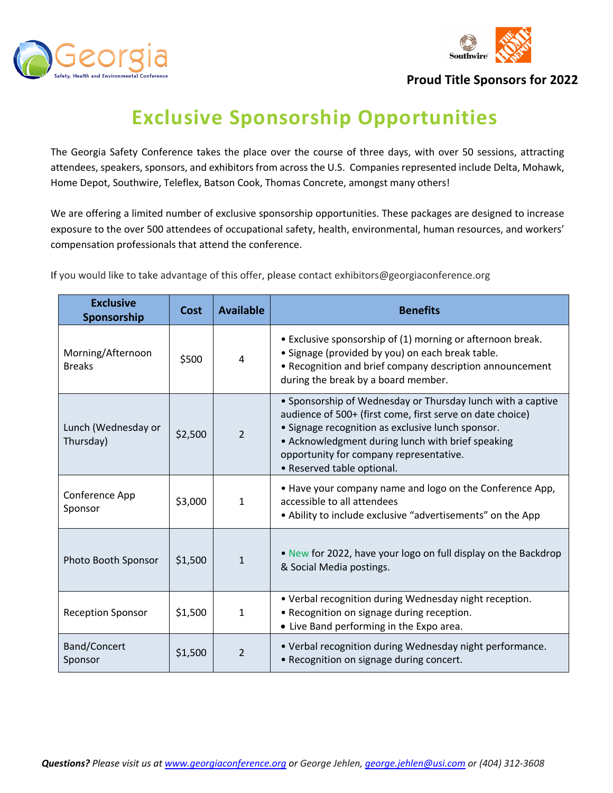



#### **Proud Title Sponsors for 2022**

### **Exclusive Sponsorship Opportunities**

The Georgia Safety Conference takes the place over the course of three days, with over 50 sessions, attracting attendees, speakers, sponsors, and exhibitors from across the U.S. Companies represented include Delta, Mohawk, Home Depot, Southwire, Teleflex, Batson Cook, Thomas Concrete, amongst many others!

We are offering a limited number of exclusive sponsorship opportunities. These packages are designed to increase exposure to the over 500 attendees of occupational safety, health, environmental, human resources, and workers' compensation professionals that attend the conference.

If you would like to take advantage of this offer, please contact exhibitors@georgiaconference.org

| <b>Exclusive</b><br>Sponsorship                     | <b>Cost</b> | <b>Available</b> | <b>Benefits</b>                                                                                                                                                                                                                                                                                             |  |  |
|-----------------------------------------------------|-------------|------------------|-------------------------------------------------------------------------------------------------------------------------------------------------------------------------------------------------------------------------------------------------------------------------------------------------------------|--|--|
| Morning/Afternoon<br><b>Breaks</b>                  | \$500       | 4                | • Exclusive sponsorship of (1) morning or afternoon break.<br>• Signage (provided by you) on each break table.<br>• Recognition and brief company description announcement<br>during the break by a board member.                                                                                           |  |  |
| Lunch (Wednesday or<br>\$2,500<br>Thursday)         |             | $\overline{2}$   | • Sponsorship of Wednesday or Thursday lunch with a captive<br>audience of 500+ (first come, first serve on date choice)<br>• Signage recognition as exclusive lunch sponsor.<br>• Acknowledgment during lunch with brief speaking<br>opportunity for company representative.<br>• Reserved table optional. |  |  |
| Conference App<br>\$3,000<br>Sponsor                |             | $\mathbf{1}$     | • Have your company name and logo on the Conference App,<br>accessible to all attendees<br>• Ability to include exclusive "advertisements" on the App                                                                                                                                                       |  |  |
| \$1,500<br>Photo Booth Sponsor                      |             | $\mathbf{1}$     | • New for 2022, have your logo on full display on the Backdrop<br>& Social Media postings.                                                                                                                                                                                                                  |  |  |
| \$1,500<br>$\mathbf{1}$<br><b>Reception Sponsor</b> |             |                  | • Verbal recognition during Wednesday night reception.<br>• Recognition on signage during reception.<br>• Live Band performing in the Expo area.                                                                                                                                                            |  |  |
| Band/Concert<br>Sponsor                             | \$1,500     | $\overline{2}$   | • Verbal recognition during Wednesday night performance.<br>• Recognition on signage during concert.                                                                                                                                                                                                        |  |  |